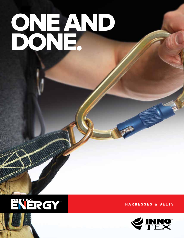# ONE AND DONE.



**H A R NES S ES & BELTS**



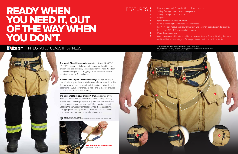## READY WHEN YOU NEED IT, OUT OF THE WAY WHEN YOU DON'T.

## ENERGY INTEGRATED CLASS II HARNESS

MANAMANA

Easy-opening hook & loop belt loops, front and back. Sliding D-ring to attach an escape system. Sliding D-ring to attach to a tether.

Leg loops.

- Quick-release stow tab for tether.
- Various pocket options to store rescue devices.
- Ex: 9" x 9" self-rescue pocket with Kevlar® and polymer-coated aramid available.
- Extra-large 10" x 10" cargo pocket is shown.
- Pass-through opening.

Opening covered with outer shell fabric to prevent water from infiltrating the pants and to add structural integrity. Stress points are reinforced with bar tacks.

Made of 100% Dupont<sup>\*</sup> Kevlar<sup>®</sup> webbing with high-strength Kevlar® stitching and heavy-duty hardware for extreme durability. The harness system can be set up left-to-right or right-to-left, depending on your preference. Its hook-and-D closure ensures optimal speed and secure fastening.



**The sturdy Class II Harness** is integrated into our INNOTEX® ENERGY™ turnout pants between the outer shell and the liner system so it's immediately accessible when you need it and out of the way when you don't. Rigging the harness is as easy as donning the pants. One and done.

**The extra-stable double-layered A-frame** is stowed on the waist belt and comes equipped with sliding D-rings for easy attachment to an escape system. Adjusters on the waist band and leg loops provide a customized fit for superior comfort. Loading the harness automatically brings the leg loops into the appropriate seating position. The entire harness can be quickly removed for easy care and maintenance.

#### FEATURES **1 2**

The integrated harness option is available in sizes 30 to 54 only. Comes with our neoprene-padded H-back suspenders that attach to horizontal loops, so there is no metal hardware to dig in or catch.



| $\begin{array}{c c} 3 \\ 4 \end{array}$ |  |
|-----------------------------------------|--|

- **5**
- **6**
- - **7**
		- **8**

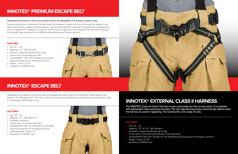## **INNOTEX® PREMIUM ESCAPE BELT**

Designed to be worn on the turnout pants and to be adjustable to fit a large range of sizes.

The gross adjustment on the back of the belt allows the firefighter to adjust the belt to the rough size needed. It only takes a few minutes to adjust the gross adjuster, and once donned, the forward-pull fine adjustment strap allows the belt to be tightened or relaxed for a custom fit. The Premium Escape belt comes standard with one fixed D-Ring and one sliding D-Ring, both of which are NFPA Certified Attachment /Positioning points.

## **INNOTEX® ESCAPE BELT**

Lightweight belt and easy to use with a single point adjustment feature that lets the firefighter quickly adjust to the proper fit. The Belt series has 1.75" nylon construction and comes standard with an attachment point for a bailout and/ or connecting an NFPA ladder strap.

#### **FEATURES:**

- Size: 28" 42"
- Webbing: 1.75" 100% Nylon FR
- Hardware: Aluminum
- Comes with 4 inches belt loops (6X)
- Certified NFPA 1983: 2017 Standard on Life Safety Rope and Equipment for Emergency Services
- Lightweight belt:  $0.6$  lbs  $\pm 0.2$
- Available for ENERGY only



## **INNOTEX® EXTERNAL CLASS II HARNESS**

The INNOTEX® External Class II harness is worn externally over the turnout pants. It is available with lightweight Cobra aluminum buckles. The self-adjusting leg straps automatically tighten when the harness is used for rappelling. The harness fits a full range of sizes.

#### **FEATURES:**

- Size: 28" 42"
- Webbing: 1.75" & 1.25" 100% Kevlar®
- Hardware: Forged steel (Buckles & D-ring)
- Comes with 4 inches belt loops (6X) and 2 inside legs loops
	- Certified NFPA 1983: 2017 Standard on Life Safety Rope and Equipment for Emergency Services
	- Weight:  $2.0$  lbs  $\pm$  0.2 lbs
- Available for ENERGY only



#### **FEATURES:**

- Size: 28" 50"
- Webbing: 1.75" 100% Kevlar®
- Buckles: Forged stell (Buckles & D-ring)
- Comes with 4 inches belt loops (6X)
- Certified NFPA 1983: 2017 Standard on Life Safety Rope and Equipment for Emergency Services
- Weight:  $1.4$  lbs  $\pm$  0.2 lbs
- Available for ENERGY only